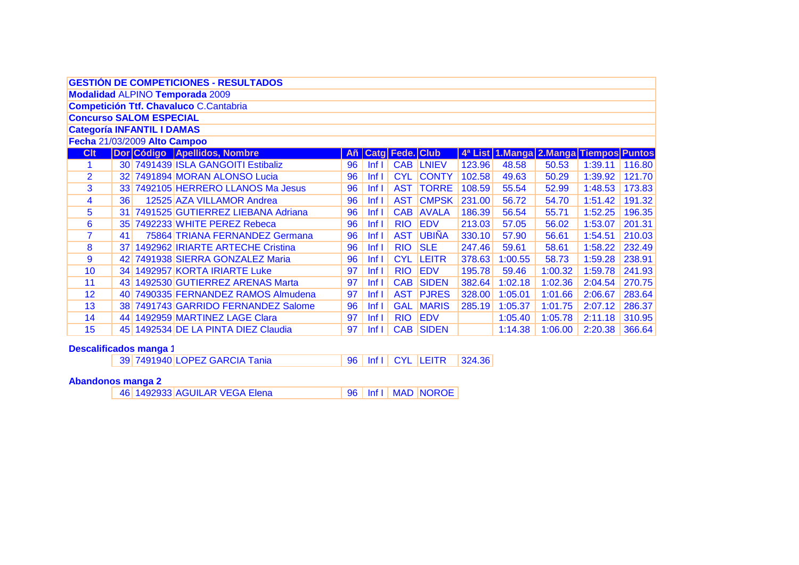|                                                                        |                                               |                                | <b>GESTIÓN DE COMPETICIONES - RESULTADOS</b> |     |                  |                 |                  |        |         |         |                    |        |  |  |
|------------------------------------------------------------------------|-----------------------------------------------|--------------------------------|----------------------------------------------|-----|------------------|-----------------|------------------|--------|---------|---------|--------------------|--------|--|--|
|                                                                        |                                               |                                | <b>Modalidad ALPINO Temporada 2009</b>       |     |                  |                 |                  |        |         |         |                    |        |  |  |
|                                                                        | <b>Competición Ttf. Chavaluco C.Cantabria</b> |                                |                                              |     |                  |                 |                  |        |         |         |                    |        |  |  |
|                                                                        |                                               | <b>Concurso SALOM ESPECIAL</b> |                                              |     |                  |                 |                  |        |         |         |                    |        |  |  |
|                                                                        | <b>Categoría INFANTIL I DAMAS</b>             |                                |                                              |     |                  |                 |                  |        |         |         |                    |        |  |  |
| Fecha 21/03/2009 Alto Campoo<br>4ª List 1.Manga 2.Manga Tiempos Puntos |                                               |                                |                                              |     |                  |                 |                  |        |         |         |                    |        |  |  |
| <b>Clt</b>                                                             |                                               |                                | Dor Código Apellidos, Nombre                 | Añ. |                  | Catg Fede. Club |                  |        |         |         |                    |        |  |  |
| 1.                                                                     |                                               |                                | 30 7491439 ISLA GANGOITI Estibaliz           | 96  | $Inf$ $  $       |                 | <b>CAB LNIEV</b> | 123.96 | 48.58   | 50.53   | $1:39.11$   116.80 |        |  |  |
| $\overline{2}$                                                         |                                               |                                | 32 7491894 MORAN ALONSO Lucia                | 96  | Inf <sub>1</sub> | <b>CYL</b>      | <b>CONTY</b>     | 102.58 | 49.63   | 50.29   | 1:39.92            | 121.70 |  |  |
| 3                                                                      |                                               |                                | 33 7492105 HERRERO LLANOS Ma Jesus           | 96  | Inf <sub>1</sub> | <b>AST</b>      | <b>TORRE</b>     | 108.59 | 55.54   | 52.99   | 1:48.53            | 173.83 |  |  |
| 4                                                                      | 36 <sup>2</sup>                               |                                | 12525 AZA VILLAMOR Andrea                    | 96  | Inf <sub>1</sub> | <b>AST</b>      | <b>CMPSK</b>     | 231.00 | 56.72   | 54.70   | 1:51.42            | 191.32 |  |  |
| 5                                                                      |                                               |                                | 31 7491525 GUTIERREZ LIEBANA Adriana         | 96  | Inf <sub>1</sub> | <b>CAB</b>      | <b>AVALA</b>     | 186.39 | 56.54   | 55.71   | 1:52.25            | 196.35 |  |  |
| $6\phantom{1}6$                                                        |                                               |                                | 35 7492233 WHITE PEREZ Rebeca                | 96  | Inf <sub>1</sub> | <b>RIO</b>      | <b>EDV</b>       | 213.03 | 57.05   | 56.02   | 1:53.07            | 201.31 |  |  |
| $\overline{7}$                                                         | 41                                            |                                | 75864 TRIANA FERNANDEZ Germana               | 96  | Inf <sub>1</sub> | <b>AST</b>      | <b>UBIÑA</b>     | 330.10 | 57.90   | 56.61   | 1:54.51            | 210.03 |  |  |
| 8                                                                      |                                               |                                | 37 1492962 IRIARTE ARTECHE Cristina          | 96  | Inf <sub>1</sub> | <b>RIO</b>      | <b>SLE</b>       | 247.46 | 59.61   | 58.61   | 1:58.22            | 232.49 |  |  |
| 9                                                                      |                                               |                                | 42 7491938 SIERRA GONZALEZ Maria             | 96  | Inf <sub>1</sub> | <b>CYL</b>      | <b>LEITR</b>     | 378.63 | 1:00.55 | 58.73   | 1:59.28            | 238.91 |  |  |
| 10                                                                     |                                               |                                | 34 1492957 KORTA IRIARTE Luke                | 97  | Inf <sub>1</sub> | <b>RIO</b>      | <b>EDV</b>       | 195.78 | 59.46   | 1:00.32 | 1:59.78            | 241.93 |  |  |
| 11                                                                     |                                               |                                | 43 1492530 GUTIERREZ ARENAS Marta            | 97  | Inf <sub>l</sub> | <b>CAB</b>      | <b>SIDEN</b>     | 382.64 | 1:02.18 | 1:02.36 | 2:04.54            | 270.75 |  |  |
| 12                                                                     |                                               |                                | 40 7490335 FERNANDEZ RAMOS Almudena          | 97  | Inf <sub>1</sub> | <b>AST</b>      | <b>PJRES</b>     | 328.00 | 1:05.01 | 1:01.66 | 2:06.67            | 283.64 |  |  |
| 13                                                                     |                                               |                                | 38 7491743 GARRIDO FERNANDEZ Salome          | 96  | Inf <sub>1</sub> | <b>GAL</b>      | <b>MARIS</b>     | 285.19 | 1:05.37 | 1:01.75 | 2:07.12            | 286.37 |  |  |
| 14                                                                     |                                               |                                | 44 1492959 MARTINEZ LAGE Clara               | 97  | Inf <sub>1</sub> | <b>RIO</b>      | <b>EDV</b>       |        | 1:05.40 | 1:05.78 | 2:11.18            | 310.95 |  |  |
| 15                                                                     |                                               |                                | 45 1492534 DE LA PINTA DIEZ Claudia          | 97  | Inf <sub>l</sub> | <b>CAB</b>      | <b>SIDEN</b>     |        | 1:14.38 | 1:06.00 | 2:20.38            | 366.64 |  |  |

Descalificados manga 1<br>39 7491940 LOPEZ GARCIA Tania 96 | Inf I | CYL | LEITR  $|324.36|$ 

#### **Abandonos manga 2**

46 1492933 AGUILAR VEGA Elena 96 | Inf I | MAD | NOROE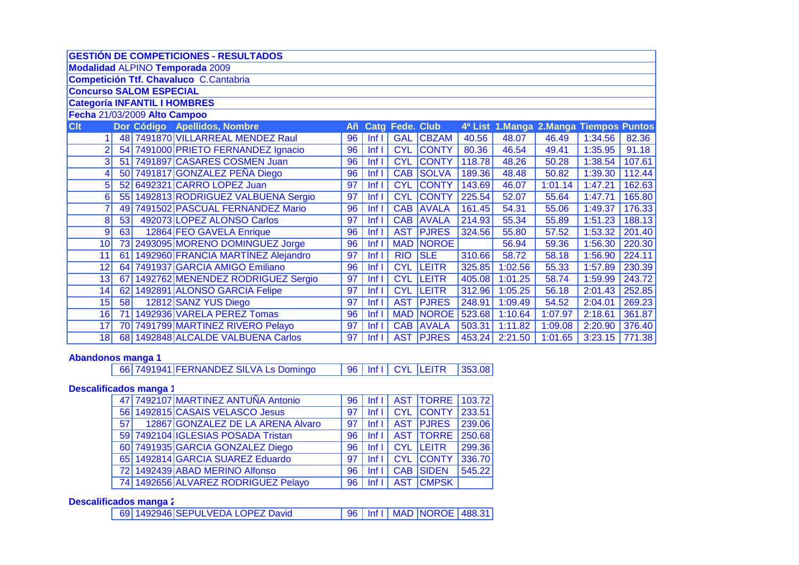|                 |                                                                                                  |  | <b>GESTIÓN DE COMPETICIONES - RESULTADOS</b> |    |                  |            |                  |        |         |         |         |        |  |  |
|-----------------|--------------------------------------------------------------------------------------------------|--|----------------------------------------------|----|------------------|------------|------------------|--------|---------|---------|---------|--------|--|--|
|                 |                                                                                                  |  | <b>Modalidad ALPINO Temporada 2009</b>       |    |                  |            |                  |        |         |         |         |        |  |  |
|                 |                                                                                                  |  | Competición Ttf. Chavaluco C.Cantabria       |    |                  |            |                  |        |         |         |         |        |  |  |
|                 | <b>Concurso SALOM ESPECIAL</b><br><b>Categoría INFANTIL I HOMBRES</b>                            |  |                                              |    |                  |            |                  |        |         |         |         |        |  |  |
|                 |                                                                                                  |  |                                              |    |                  |            |                  |        |         |         |         |        |  |  |
|                 | Fecha 21/03/2009 Alto Campoo<br>4ª List 1.Manga 2.Manga Tiempos Puntos<br><b>Catg Fede. Club</b> |  |                                              |    |                  |            |                  |        |         |         |         |        |  |  |
| <b>Clt</b>      |                                                                                                  |  | Dor Código Apellidos, Nombre                 | Añ |                  |            |                  |        |         |         |         |        |  |  |
|                 |                                                                                                  |  | 48 7491870 VILLARREAL MENDEZ Raul            | 96 | lnf l            | <b>GAL</b> | <b>CBZAM</b>     | 40.56  | 48.07   | 46.49   | 1:34.56 | 82.36  |  |  |
| $\overline{2}$  |                                                                                                  |  | 54 7491000 PRIETO FERNANDEZ Ignacio          | 96 | lnf              | <b>CYL</b> | <b>CONTY</b>     | 80.36  | 46.54   | 49.41   | 1:35.95 | 91.18  |  |  |
| $\overline{3}$  |                                                                                                  |  | 51 7491897 CASARES COSMEN Juan               | 96 | lnf l            | <b>CYL</b> | <b>CONTY</b>     | 118.78 | 48.26   | 50.28   | 1:38.54 | 107.61 |  |  |
| 4               |                                                                                                  |  | 50 7491817 GONZALEZ PEÑA Diego               | 96 | Inf I            | <b>CAB</b> | <b>SOLVA</b>     | 189.36 | 48.48   | 50.82   | 1:39.30 | 112.44 |  |  |
| 5 <sup>1</sup>  |                                                                                                  |  | 52 6492321 CARRO LOPEZ Juan                  | 97 | Inf <sub>1</sub> | <b>CYL</b> | <b>CONTY</b>     | 143.69 | 46.07   | 1:01.14 | 1:47.21 | 162.63 |  |  |
| 6               |                                                                                                  |  | 55 1492813 RODRIGUEZ VALBUENA Sergio         | 97 | Inf <sub>1</sub> | <b>CYL</b> | <b>CONTY</b>     | 225.54 | 52.07   | 55.64   | 1:47.71 | 165.80 |  |  |
|                 |                                                                                                  |  | 49 7491502 PASCUAL FERNANDEZ Mario           | 96 | lnf              | CAB        | <b>AVALA</b>     | 161.45 | 54.31   | 55.06   | 1:49.37 | 176.33 |  |  |
| 8 <sup>1</sup>  | 53                                                                                               |  | 492073 LOPEZ ALONSO Carlos                   | 97 | Inf <sub>1</sub> | <b>CAB</b> | <b>AVALA</b>     | 214.93 | 55.34   | 55.89   | 1:51.23 | 188.13 |  |  |
| 9               | 63                                                                                               |  | 12864 FEO GAVELA Enrique                     | 96 | Inf <sub>1</sub> | <b>AST</b> | <b>PJRES</b>     | 324.56 | 55.80   | 57.52   | 1:53.32 | 201.40 |  |  |
| 10 <sup>1</sup> |                                                                                                  |  | 73 2493095 MORENO DOMINGUEZ Jorge            | 96 | Inf I            |            | <b>MAD NOROE</b> |        | 56.94   | 59.36   | 1:56.30 | 220.30 |  |  |
| 11              |                                                                                                  |  | 61 1492960 FRANCIA MARTÍNEZ Alejandro        | 97 | Inf <sub>1</sub> | <b>RIO</b> | <b>SLE</b>       | 310.66 | 58.72   | 58.18   | 1:56.90 | 224.11 |  |  |
| 12              |                                                                                                  |  | 64 7491937 GARCIA AMIGO Emiliano             | 96 | Inf <sub>1</sub> | <b>CYL</b> | <b>LEITR</b>     | 325.85 | 1:02.56 | 55.33   | 1:57.89 | 230.39 |  |  |
| 13              |                                                                                                  |  | 67 1492762 MENENDEZ RODRIGUEZ Sergio         | 97 | Inf <sub>1</sub> | <b>CYL</b> | <b>LEITR</b>     | 405.08 | 1:01.25 | 58.74   | 1:59.99 | 243.72 |  |  |
| 14              |                                                                                                  |  | 62 1492891 ALONSO GARCIA Felipe              | 97 | Inf <sub>1</sub> | <b>CYL</b> | <b>LEITR</b>     | 312.96 | 1:05.25 | 56.18   | 2:01.43 | 252.85 |  |  |
| 15              | 58                                                                                               |  | 12812 SANZ YUS Diego                         | 97 | Inf <sub>1</sub> | <b>AST</b> | <b>PJRES</b>     | 248.91 | 1:09.49 | 54.52   | 2:04.01 | 269.23 |  |  |
| 16              |                                                                                                  |  | 71 1492936 VARELA PEREZ Tomas                | 96 | Inf <sub>1</sub> |            | <b>MAD NOROE</b> | 523.68 | 1:10.64 | 1:07.97 | 2:18.61 | 361.87 |  |  |
| 17              |                                                                                                  |  | 70 7491799 MARTINEZ RIVERO Pelayo            | 97 | Inf <sub>1</sub> | <b>CAB</b> | <b>AVALA</b>     | 503.31 | 1:11.82 | 1:09.08 | 2:20.90 | 376.40 |  |  |
| 18              |                                                                                                  |  | 68 1492848 ALCALDE VALBUENA Carlos           | 97 | Inf <sub>1</sub> | <b>AST</b> | <b>PJRES</b>     | 453.24 | 2:21.50 | 1:01.65 | 3:23.15 | 771.38 |  |  |
|                 |                                                                                                  |  |                                              |    |                  |            |                  |        |         |         |         |        |  |  |

## **Abandonos manga 1**

|  | $\frac{1}{166}$ 7491941 FERNANDEZ SILVA Ls Domingo |  |  |  | 96   Inf I   CYL   LEITR   353.08 |  |
|--|----------------------------------------------------|--|--|--|-----------------------------------|--|
|--|----------------------------------------------------|--|--|--|-----------------------------------|--|

#### **Descalificados manga 1**

|                 | 47 7492107 MARTINEZ ANTUÑA Antonio  | 96 I            |  | $\left  \right $   AST   TORRE   103.72 |        |
|-----------------|-------------------------------------|-----------------|--|-----------------------------------------|--------|
|                 | 56 1492815 CASAIS VELASCO Jesus     | 97              |  | Inf I   CYL   CONTY                     | 233.51 |
| 57 <sup>1</sup> | 12867 GONZALEZ DE LA ARENA Alvaro   | 97 <sup>1</sup> |  | Inf I AST PJRES                         | 239.06 |
|                 | 59 7492104 IGLESIAS POSADA Tristan  |                 |  | 96   Inf I   AST   TORRE                | 250.68 |
|                 | 60 7491935 GARCIA GONZALEZ Diego    |                 |  | 96   Inf I   CYL   LEITR                | 299.36 |
|                 | 65 1492814 GARCIA SUAREZ Eduardo    |                 |  | 97 Inf I CYL CONTY                      | 336.70 |
|                 | 72 1492439 ABAD MERINO Alfonso      | 96 <sub>1</sub> |  | Inf I CAB SIDEN                         | 545.22 |
|                 | 74 1492656 ALVAREZ RODRIGUEZ Pelayo |                 |  | 96   Inf I   AST CMPSK                  |        |

## **Descalificados manga 2**

|  | 69 1492946 SEPULVEDA LOPEZ David |  |  |  | 96   Inf I   MAD   NOROE   488.31 |  |  |
|--|----------------------------------|--|--|--|-----------------------------------|--|--|
|--|----------------------------------|--|--|--|-----------------------------------|--|--|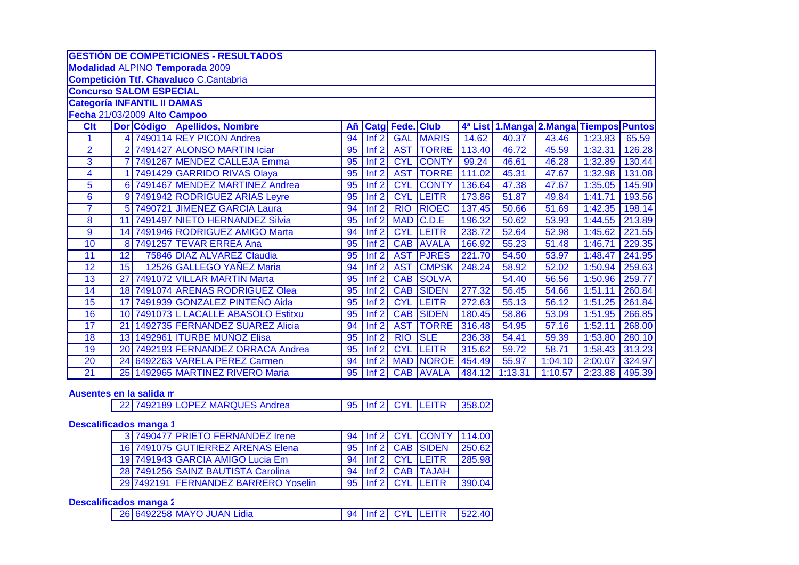|                                    |                | <b>GESTIÓN DE COMPETICIONES - RESULTADOS</b>  |                 |                  |                 |                  |        |         |                                        |         |        |
|------------------------------------|----------------|-----------------------------------------------|-----------------|------------------|-----------------|------------------|--------|---------|----------------------------------------|---------|--------|
|                                    |                | <b>Modalidad ALPINO Temporada 2009</b>        |                 |                  |                 |                  |        |         |                                        |         |        |
|                                    |                | <b>Competición Ttf. Chavaluco C.Cantabria</b> |                 |                  |                 |                  |        |         |                                        |         |        |
| <b>Concurso SALOM ESPECIAL</b>     |                |                                               |                 |                  |                 |                  |        |         |                                        |         |        |
| <b>Categoría INFANTIL II DAMAS</b> |                |                                               |                 |                  |                 |                  |        |         |                                        |         |        |
| Fecha 21/03/2009 Alto Campoo       |                |                                               |                 |                  |                 |                  |        |         |                                        |         |        |
| <b>Clt</b>                         |                | Dor Código Apellidos, Nombre                  | Añ              |                  | Catg Fede. Club |                  |        |         | 4ª List 1.Manga 2.Manga Tiempos Puntos |         |        |
|                                    |                | 4 7490114 REY PICON Andrea                    | 94              | Inf2             | <b>GAL</b>      | <b>MARIS</b>     | 14.62  | 40.37   | 43.46                                  | 1:23.83 | 65.59  |
| $\overline{2}$                     | $\overline{2}$ | 7491427 ALONSO MARTIN Iciar                   | 95              | Inf2             | <b>AST</b>      | <b>TORRE</b>     | 113.40 | 46.72   | 45.59                                  | 1:32.31 | 126.28 |
| 3                                  |                | 7491267 MENDEZ CALLEJA Emma                   | 95              | Inf2             | <b>CYL</b>      | <b>CONTY</b>     | 99.24  | 46.61   | 46.28                                  | 1:32.89 | 130.44 |
| 4                                  |                | 7491429 GARRIDO RIVAS Olaya                   | $\overline{95}$ | Inf2             | <b>AST</b>      | <b>TORRE</b>     | 111.02 | 45.31   | 47.67                                  | 1:32.98 | 131.08 |
| 5                                  |                | 6 7491467 MENDEZ MARTINEZ Andrea              | $\overline{95}$ | Inf2             | <b>CYL</b>      | <b>CONTY</b>     | 136.64 | 47.38   | 47.67                                  | 1:35.05 | 145.90 |
| 6                                  |                | 9 7491942 RODRIGUEZ ARIAS Leyre               | 95              | Inf2             | <b>CYL</b>      | <b>LEITR</b>     | 173.86 | 51.87   | 49.84                                  | 1:41.71 | 193.56 |
| $\overline{7}$                     |                | 5 7490721 JIMENEZ GARCIA Laura                | 94              | Inf2             | <b>RIO</b>      | <b>RIOEC</b>     | 137.45 | 50.66   | 51.69                                  | 1:42.35 | 198.14 |
| 8                                  | 11             | 7491497 NIETO HERNANDEZ Silvia                | 95              | Inf2             | <b>MAD</b>      | C.D.E            | 196.32 | 50.62   | 53.93                                  | 1:44.55 | 213.89 |
| 9                                  |                | 14 7491946 RODRIGUEZ AMIGO Marta              | 94              | Inf <sub>2</sub> | <b>CYL</b>      | <b>LEITR</b>     | 238.72 | 52.64   | 52.98                                  | 1:45.62 | 221.55 |
| 10                                 |                | 8 7491257 TEVAR ERREA Ana                     | 95              | Inf2             | <b>CAB</b>      | <b>AVALA</b>     | 166.92 | 55.23   | 51.48                                  | 1:46.71 | 229.35 |
| 11                                 | 12             | 75846 DIAZ ALVAREZ Claudia                    | 95              | Inf <sub>2</sub> | <b>AST</b>      | <b>PJRES</b>     | 221.70 | 54.50   | 53.97                                  | 1:48.47 | 241.95 |
| 12                                 | 15             | 12526 GALLEGO YAÑEZ Maria                     | 94              | Inf <sub>2</sub> | <b>AST</b>      | <b>CMPSK</b>     | 248.24 | 58.92   | 52.02                                  | 1:50.94 | 259.63 |
| 13                                 | 27             | 7491072 VILLAR MARTIN Marta                   | 95              | Inf2             | <b>CAB</b>      | <b>SOLVA</b>     |        | 54.40   | 56.56                                  | 1:50.96 | 259.77 |
| 14                                 |                | 18 7491074 ARENAS RODRIGUEZ Olea              | 95              | Inf2             | <b>CAB</b>      | <b>SIDEN</b>     | 277.32 | 56.45   | 54.66                                  | 1:51.11 | 260.84 |
| 15                                 | 17             | 7491939 GONZALEZ PINTEÑO Aida                 | 95              | Inf2             | <b>CYL</b>      | <b>LEITR</b>     | 272.63 | 55.13   | 56.12                                  | 1:51.25 | 261.84 |
| 16                                 |                | 10 7491073 L LACALLE ABASOLO Estitxu          | 95              | Inf2             | <b>CAB</b>      | <b>SIDEN</b>     | 180.45 | 58.86   | 53.09                                  | 1:51.95 | 266.85 |
| $\overline{17}$                    | 21             | 1492735 FERNANDEZ SUAREZ Alicia               | 94              | Inf2             | <b>AST</b>      | <b>TORRE</b>     | 316.48 | 54.95   | 57.16                                  | 1:52.11 | 268.00 |
| 18                                 |                | 13 1492961 ITURBE MUÑOZ Elisa                 | 95              | Inf2             | RIO             | <b>SLE</b>       | 236.38 | 54.41   | 59.39                                  | 1:53.80 | 280.10 |
| 19                                 |                | 20 7492193 FERNANDEZ ORRACA Andrea            | 95              | Inf2             | <b>CYL</b>      | <b>LEITR</b>     | 315.62 | 59.72   | 58.71                                  | 1:58.43 | 313.23 |
| 20                                 | 24             | 6492263 VARELA PEREZ Carmen                   | 94              | Inf2             | <b>MAD</b>      | <b>NOROE</b>     | 454.49 | 55.97   | 1:04.10                                | 2:00.07 | 324.97 |
| 21                                 |                | 25 1492965 MARTINEZ RIVERO Maria              | 95              | lnf2             |                 | <b>CAB AVALA</b> | 484.12 | 1:13.31 | 1:10.57                                | 2:23.88 | 495.39 |

## Ausentes en la salida m

|  |  | 22 7492189 LOPEZ MARQUES Andrea |  |  |  | 95   Inf 2   CYL   LEITR   358.02 |  |  |
|--|--|---------------------------------|--|--|--|-----------------------------------|--|--|
|--|--|---------------------------------|--|--|--|-----------------------------------|--|--|

## **Descalificados manga 1**

|  | 3 7490477 PRIETO FERNANDEZ Irene     |  | 94   Inf 2   CYL CONTY   114.00 |        |
|--|--------------------------------------|--|---------------------------------|--------|
|  | 16 7491075 GUTIERREZ ARENAS Elena    |  | 95   Inf 2   CAB   SIDEN        | 250.62 |
|  | 19 7491943 GARCIA AMIGO Lucia Em     |  | 94   Inf 2   CYL   LEITR        | 285.98 |
|  | 28 7491256 SAINZ BAUTISTA Carolina   |  | 94   Inf 2   CAB   TAJAH        |        |
|  | 29 7492191 FERNANDEZ BARRERO Yoselin |  | 95   Inf 2   CYL   LEITR        | 390.04 |

# Descalificados manga 2

| 26 6492258 MAYO JUAN Lidia |  |  |  | 94   Inf 2   CYL   LEITR   522.40 |  |  |
|----------------------------|--|--|--|-----------------------------------|--|--|
|----------------------------|--|--|--|-----------------------------------|--|--|